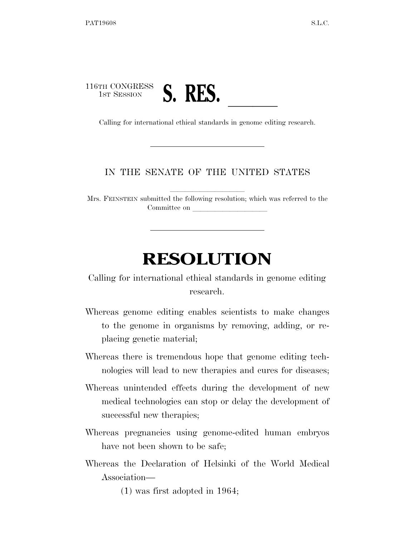## 116TH CONGRESS 1st Session **S. RES.** Calling for international ethical standards in genome editing research.

## IN THE SENATE OF THE UNITED STATES

Mrs. FEINSTEIN submitted the following resolution; which was referred to the Committee on

## **RESOLUTION**

Calling for international ethical standards in genome editing research.

- Whereas genome editing enables scientists to make changes to the genome in organisms by removing, adding, or replacing genetic material;
- Whereas there is tremendous hope that genome editing technologies will lead to new therapies and cures for diseases;
- Whereas unintended effects during the development of new medical technologies can stop or delay the development of successful new therapies;
- Whereas pregnancies using genome-edited human embryos have not been shown to be safe;
- Whereas the Declaration of Helsinki of the World Medical Association—

(1) was first adopted in 1964;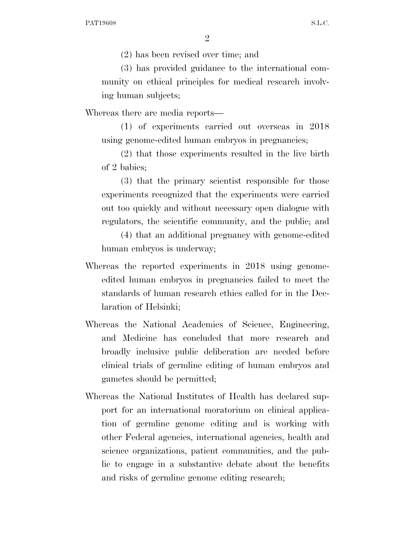(2) has been revised over time; and

(3) has provided guidance to the international community on ethical principles for medical research involving human subjects;

Whereas there are media reports—

(1) of experiments carried out overseas in 2018 using genome-edited human embryos in pregnancies;

(2) that those experiments resulted in the live birth of 2 babies;

(3) that the primary scientist responsible for those experiments recognized that the experiments were carried out too quickly and without necessary open dialogue with regulators, the scientific community, and the public; and

(4) that an additional pregnancy with genome-edited human embryos is underway;

- Whereas the reported experiments in 2018 using genomeedited human embryos in pregnancies failed to meet the standards of human research ethics called for in the Declaration of Helsinki;
- Whereas the National Academies of Science, Engineering, and Medicine has concluded that more research and broadly inclusive public deliberation are needed before clinical trials of germline editing of human embryos and gametes should be permitted;
- Whereas the National Institutes of Health has declared support for an international moratorium on clinical application of germline genome editing and is working with other Federal agencies, international agencies, health and science organizations, patient communities, and the public to engage in a substantive debate about the benefits and risks of germline genome editing research;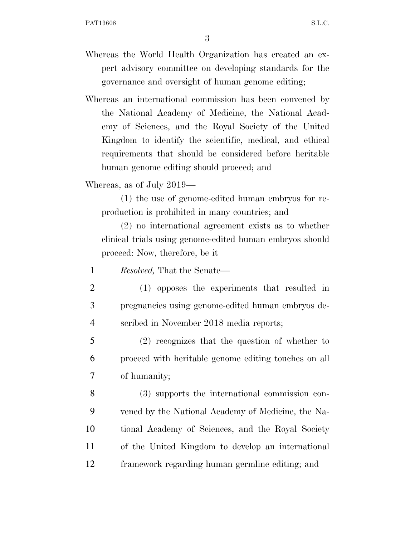- Whereas the World Health Organization has created an expert advisory committee on developing standards for the governance and oversight of human genome editing;
- Whereas an international commission has been convened by the National Academy of Medicine, the National Academy of Sciences, and the Royal Society of the United Kingdom to identify the scientific, medical, and ethical requirements that should be considered before heritable human genome editing should proceed; and

Whereas, as of July 2019—

(1) the use of genome-edited human embryos for reproduction is prohibited in many countries; and

(2) no international agreement exists as to whether clinical trials using genome-edited human embryos should proceed: Now, therefore, be it

1 *Resolved,* That the Senate—

- 2 (1) opposes the experiments that resulted in 3 pregnancies using genome-edited human embryos de-4 scribed in November 2018 media reports;
- 5 (2) recognizes that the question of whether to 6 proceed with heritable genome editing touches on all 7 of humanity;
- 8 (3) supports the international commission con-9 vened by the National Academy of Medicine, the Na-10 tional Academy of Sciences, and the Royal Society 11 of the United Kingdom to develop an international 12 framework regarding human germline editing; and